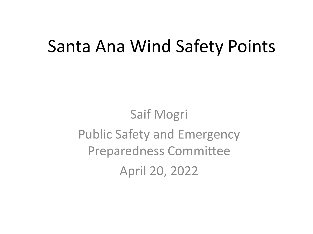## Santa Ana Wind Safety Points

Saif Mogri Public Safety and Emergency Preparedness Committee April 20, 2022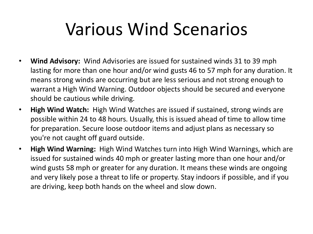## Various Wind Scenarios

- **Wind Advisory:** Wind Advisories are issued for sustained winds 31 to 39 mph lasting for more than one hour and/or wind gusts 46 to 57 mph for any duration. It means strong winds are occurring but are less serious and not strong enough to warrant a High Wind Warning. Outdoor objects should be secured and everyone should be cautious while driving.
- **High Wind Watch:** High Wind Watches are issued if sustained, strong winds are possible within 24 to 48 hours. Usually, this is issued ahead of time to allow time for preparation. Secure loose outdoor items and adjust plans as necessary so you're not caught off guard outside.
- **High Wind Warning:** High Wind Watches turn into High Wind Warnings, which are issued for sustained winds 40 mph or greater lasting more than one hour and/or wind gusts 58 mph or greater for any duration. It means these winds are ongoing and very likely pose a threat to life or property. Stay indoors if possible, and if you are driving, keep both hands on the wheel and slow down.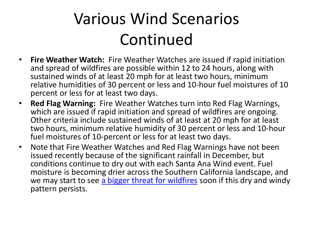## Various Wind Scenarios Continued

- **Fire Weather Watch:** Fire Weather Watches are issued if rapid initiation and spread of wildfires are possible within 12 to 24 hours, along with sustained winds of at least 20 mph for at least two hours, minimum relative humidities of 30 percent or less and 10-hour fuel moistures of 10 percent or less for at least two days.
- **Red Flag Warning:** Fire Weather Watches turn into Red Flag Warnings, which are issued if rapid initiation and spread of wildfires are ongoing. Other criteria include sustained winds of at least at 20 mph for at least two hours, minimum relative humidity of 30 percent or less and 10-hour fuel moistures of 10-percent or less for at least two days.
- Note that Fire Weather Watches and Red Flag Warnings have not been issued recently because of the significant rainfall in December, but conditions continue to dry out with each Santa Ana Wind event. Fuel moisture is becoming drier across the Southern California landscape, and we may start to see [a bigger threat for wildfires](https://spectrumnews1.com/ca/la-west/weather/2021/09/20/how-do-wildfires-start-in-california--most-of-the-time--it-s-us-) soon if this dry and windy pattern persists.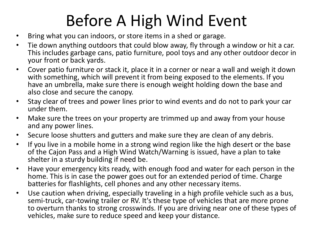## Before A High Wind Event

- Bring what you can indoors, or store items in a shed or garage.
- Tie down anything outdoors that could blow away, fly through a window or hit a car. This includes garbage cans, patio furniture, pool toys and any other outdoor decor in your front or back yards.
- Cover patio furniture or stack it, place it in a corner or near a wall and weigh it down with something, which will prevent it from being exposed to the elements. If you have an umbrella, make sure there is enough weight holding down the base and also close and secure the canopy.
- Stay clear of trees and power lines prior to wind events and do not to park your car under them.
- Make sure the trees on your property are trimmed up and away from your house and any power lines.
- Secure loose shutters and gutters and make sure they are clean of any debris.
- If you live in a mobile home in a strong wind region like the high desert or the base of the Cajon Pass and a High Wind Watch/Warning is issued, have a plan to take shelter in a sturdy building if need be.
- Have your emergency kits ready, with enough food and water for each person in the home. This is in case the power goes out for an extended period of time. Charge batteries for flashlights, cell phones and any other necessary items.
- Use caution when driving, especially traveling in a high profile vehicle such as a bus, semi-truck, car-towing trailer or RV. It's these type of vehicles that are more prone to overturn thanks to strong crosswinds. If you are driving near one of these types of vehicles, make sure to reduce speed and keep your distance.